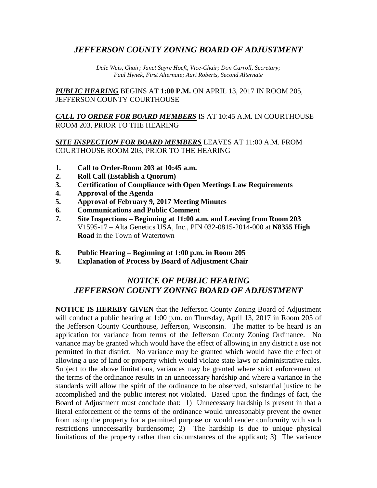## *JEFFERSON COUNTY ZONING BOARD OF ADJUSTMENT*

*Dale Weis, Chair; Janet Sayre Hoeft, Vice-Chair; Don Carroll, Secretary; Paul Hynek, First Alternate; Aari Roberts, Second Alternate*

*PUBLIC HEARING* BEGINS AT **1:00 P.M.** ON APRIL 13, 2017 IN ROOM 205, JEFFERSON COUNTY COURTHOUSE

*CALL TO ORDER FOR BOARD MEMBERS* IS AT 10:45 A.M. IN COURTHOUSE ROOM 203, PRIOR TO THE HEARING

#### *SITE INSPECTION FOR BOARD MEMBERS* LEAVES AT 11:00 A.M. FROM COURTHOUSE ROOM 203, PRIOR TO THE HEARING

- **1. Call to Order-Room 203 at 10:45 a.m.**
- **2. Roll Call (Establish a Quorum)**
- **3. Certification of Compliance with Open Meetings Law Requirements**
- **4. Approval of the Agenda**
- **5. Approval of February 9, 2017 Meeting Minutes**
- **6. Communications and Public Comment**
- **7. Site Inspections – Beginning at 11:00 a.m. and Leaving from Room 203** V1595-17 – Alta Genetics USA, Inc., PIN 032-0815-2014-000 at **N8355 High Road** in the Town of Watertown
- **8. Public Hearing – Beginning at 1:00 p.m. in Room 205**
- **9. Explanation of Process by Board of Adjustment Chair**

# *NOTICE OF PUBLIC HEARING JEFFERSON COUNTY ZONING BOARD OF ADJUSTMENT*

**NOTICE IS HEREBY GIVEN** that the Jefferson County Zoning Board of Adjustment will conduct a public hearing at 1:00 p.m. on Thursday, April 13, 2017 in Room 205 of the Jefferson County Courthouse, Jefferson, Wisconsin. The matter to be heard is an application for variance from terms of the Jefferson County Zoning Ordinance. No variance may be granted which would have the effect of allowing in any district a use not permitted in that district. No variance may be granted which would have the effect of allowing a use of land or property which would violate state laws or administrative rules. Subject to the above limitations, variances may be granted where strict enforcement of the terms of the ordinance results in an unnecessary hardship and where a variance in the standards will allow the spirit of the ordinance to be observed, substantial justice to be accomplished and the public interest not violated. Based upon the findings of fact, the Board of Adjustment must conclude that: 1) Unnecessary hardship is present in that a literal enforcement of the terms of the ordinance would unreasonably prevent the owner from using the property for a permitted purpose or would render conformity with such restrictions unnecessarily burdensome; 2) The hardship is due to unique physical limitations of the property rather than circumstances of the applicant; 3) The variance